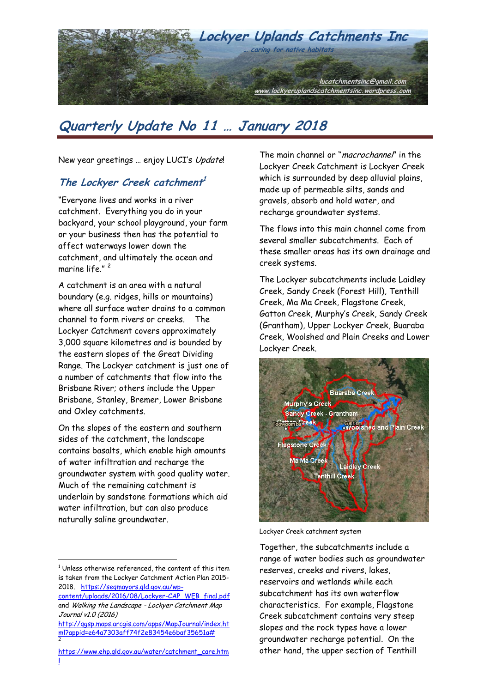

# **Quarterly Update No 11 … January 2018**

New year greetings ... enjoy LUCI's Update!

#### **The Lockyer Creek catchment 1**

"Everyone lives and works in a river catchment. Everything you do in your backyard, your school playground, your farm or your business then has the potential to affect waterways lower down the catchment, and ultimately the ocean and marine life."<sup>2</sup>

A catchment is an area with a natural boundary (e.g. ridges, hills or mountains) where all surface water drains to a common channel to form rivers or creeks. The Lockyer Catchment covers approximately 3,000 square kilometres and is bounded by the eastern slopes of the Great Dividing Range. The Lockyer catchment is just one of a number of catchments that flow into the Brisbane River; others include the Upper Brisbane, Stanley, Bremer, Lower Brisbane and Oxley catchments.

On the slopes of the eastern and southern sides of the catchment, the landscape contains basalts, which enable high amounts of water infiltration and recharge the groundwater system with good quality water. Much of the remaining catchment is underlain by sandstone formations which aid water infiltration, but can also produce naturally saline groundwater.

 $\overline{a}$ 

The main channel or "*macrochannel*" in the Lockyer Creek Catchment is Lockyer Creek which is surrounded by deep alluvial plains, made up of permeable silts, sands and gravels, absorb and hold water, and recharge groundwater systems.

The flows into this main channel come from several smaller subcatchments. Each of these smaller areas has its own drainage and creek systems.

The Lockyer subcatchments include Laidley Creek, Sandy Creek (Forest Hill), Tenthill Creek, Ma Ma Creek, Flagstone Creek, Gatton Creek, Murphy's Creek, Sandy Creek (Grantham), Upper Lockyer Creek, Buaraba Creek, Woolshed and Plain Creeks and Lower Lockyer Creek.



Lockyer Creek catchment system

Together, the subcatchments include a range of water bodies such as groundwater reserves, creeks and rivers, lakes, reservoirs and wetlands while each subcatchment has its own waterflow characteristics. For example, Flagstone Creek subcatchment contains very steep slopes and the rock types have a lower groundwater recharge potential. On the other hand, the upper section of Tenthill

 $1$  Unless otherwise referenced, the content of this item is taken from the Lockyer Catchment Action Plan 2015- 2018. [https://seqmayors.qld.gov.au/wp-](https://seqmayors.qld.gov.au/wp-content/uploads/2016/08/Lockyer-CAP_WEB_final.pdf)

[content/uploads/2016/08/Lockyer-CAP\\_WEB\\_final.pdf](https://seqmayors.qld.gov.au/wp-content/uploads/2016/08/Lockyer-CAP_WEB_final.pdf) and Walking the Landscape - Lockyer Catchment Map Journal v1.0 (2016)

[http://qgsp.maps.arcgis.com/apps/MapJournal/index.ht](http://qgsp.maps.arcgis.com/apps/MapJournal/index.html?appid=e64a7303aff74f2e83454e6baf35651a) [ml?appid=e64a7303aff74f2e83454e6baf35651a#](http://qgsp.maps.arcgis.com/apps/MapJournal/index.html?appid=e64a7303aff74f2e83454e6baf35651a) 2

[https://www.ehp.qld.gov.au/water/catchment\\_care.htm](https://www.ehp.qld.gov.au/water/catchment_care.html) [l](https://www.ehp.qld.gov.au/water/catchment_care.html)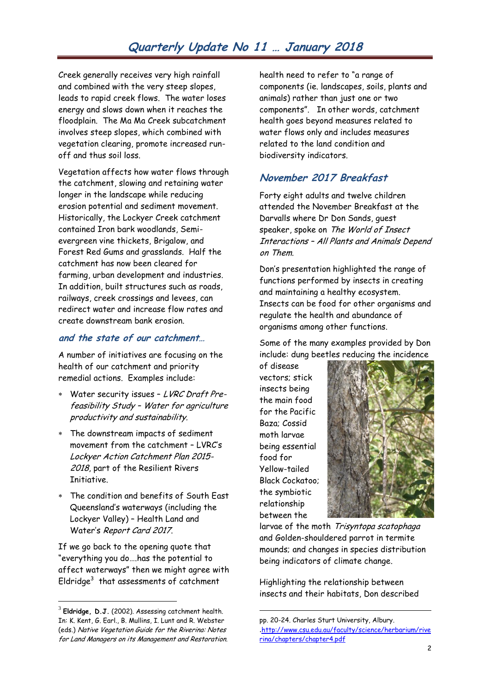# **Quarterly Update No 11 … January 2018**

Creek generally receives very high rainfall and combined with the very steep slopes, leads to rapid creek flows. The water loses energy and slows down when it reaches the floodplain. The Ma Ma Creek subcatchment involves steep slopes, which combined with vegetation clearing, promote increased runoff and thus soil loss.

Vegetation affects how water flows through the catchment, slowing and retaining water longer in the landscape while reducing erosion potential and sediment movement. Historically, the Lockyer Creek catchment contained Iron bark woodlands, Semievergreen vine thickets, Brigalow, and Forest Red Gums and grasslands. Half the catchment has now been cleared for farming, urban development and industries. In addition, built structures such as roads, railways, creek crossings and levees, can redirect water and increase flow rates and create downstream bank erosion.

#### **and the state of our catchment…**

A number of initiatives are focusing on the health of our catchment and priority remedial actions. Examples include:

- Water security issues LVRC Draft Prefeasibility Study – Water for agriculture productivity and sustainability.
- The downstream impacts of sediment movement from the catchment – LVRC's Lockyer Action Catchment Plan 2015- 2018, part of the Resilient Rivers Initiative.
- The condition and benefits of South East Queensland's waterways (including the Lockyer Valley) – Health Land and Water's Report Card 2017.

If we go back to the opening quote that "everything you do….has the potential to affect waterways" then we might agree with Eldridge $^3$  that assessments of catchment

 $\overline{a}$ 

health need to refer to "a range of components (ie. landscapes, soils, plants and animals) rather than just one or two components". In other words, catchment health goes beyond measures related to water flows only and includes measures related to the land condition and biodiversity indicators.

#### **November 2017 Breakfast**

Forty eight adults and twelve children attended the November Breakfast at the Darvalls where Dr Don Sands, guest speaker, spoke on The World of Insect Interactions – All Plants and Animals Depend on Them.

Don's presentation highlighted the range of functions performed by insects in creating and maintaining a healthy ecosystem. Insects can be food for other organisms and regulate the health and abundance of organisms among other functions.

Some of the many examples provided by Don include: dung beetles reducing the incidence

of disease vectors; stick insects being the main food for the Pacific Baza; Cossid moth larvae being essential food for Yellow-tailed Black Cockatoo; the symbiotic relationship between the

1



larvae of the moth Trisyntopa scatophaga and Golden-shouldered parrot in termite mounds; and changes in species distribution being indicators of climate change.

Highlighting the relationship between insects and their habitats, Don described

 $^3$  **Eldridge, D.J.** (2002). Assessing catchment health. In: K. Kent, G. Earl., B. Mullins, I. Lunt and R. Webster (eds.) Native Vegetation Guide for the Riverina: Notes for Land Managers on its Management and Restoration.

pp. 20-24. Charles Sturt University, Albury. .[http://www.csu.edu.au/faculty/science/herbarium/rive](http://www.csu.edu.au/faculty/science/herbarium/riverina/chapters/chapter4.pdf) [rina/chapters/chapter4.pdf](http://www.csu.edu.au/faculty/science/herbarium/riverina/chapters/chapter4.pdf)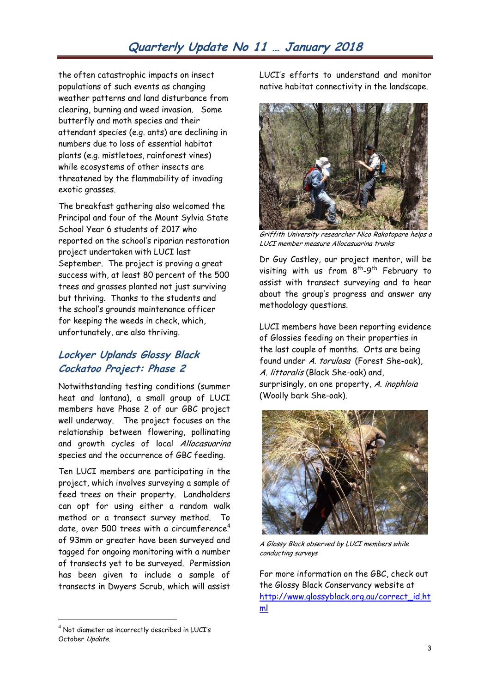the often catastrophic impacts on insect populations of such events as changing weather patterns and land disturbance from clearing, burning and weed invasion. Some butterfly and moth species and their attendant species (e.g. ants) are declining in numbers due to loss of essential habitat plants (e.g. mistletoes, rainforest vines) while ecosystems of other insects are threatened by the flammability of invading exotic grasses.

The breakfast gathering also welcomed the Principal and four of the Mount Sylvia State School Year 6 students of 2017 who reported on the school's riparian restoration project undertaken with LUCI last September. The project is proving a great success with, at least 80 percent of the 500 trees and grasses planted not just surviving but thriving. Thanks to the students and the school's grounds maintenance officer for keeping the weeds in check, which, unfortunately, are also thriving.

# **Lockyer Uplands Glossy Black Cockatoo Project: Phase 2**

Notwithstanding testing conditions (summer heat and lantana), a small group of LUCI members have Phase 2 of our GBC project well underway. The project focuses on the relationship between flowering, pollinating and growth cycles of local Allocasuarina species and the occurrence of GBC feeding.

Ten LUCI members are participating in the project, which involves surveying a sample of feed trees on their property. Landholders can opt for using either a random walk method or a transect survey method. To date, over 500 trees with a circumference<sup>4</sup> of 93mm or greater have been surveyed and tagged for ongoing monitoring with a number of transects yet to be surveyed. Permission has been given to include a sample of transects in Dwyers Scrub, which will assist

 $^4$  Not diameter as incorrectly described in LUCI's October Update.

 $\overline{a}$ 

LUCI's efforts to understand and monitor native habitat connectivity in the landscape.



Griffith University researcher Nico Rakotopare helps a LUCI member measure Allocasuarina trunks

Dr Guy Castley, our project mentor, will be visiting with us from  $8^{th}$ -9<sup>th</sup> February to assist with transect surveying and to hear about the group's progress and answer any methodology questions.

LUCI members have been reporting evidence of Glossies feeding on their properties in the last couple of months. Orts are being found under A. torulosa (Forest She-oak), A. littoralis (Black She-oak) and, surprisingly, on one property, A. inophloia (Woolly bark She-oak).



A Glossy Black observed by LUCI members while conducting surveys

For more information on the GBC, check out the Glossy Black Conservancy website at [http://www.glossyblack.org.au/correct\\_id.ht](http://www.glossyblack.org.au/correct_id.html) [ml](http://www.glossyblack.org.au/correct_id.html)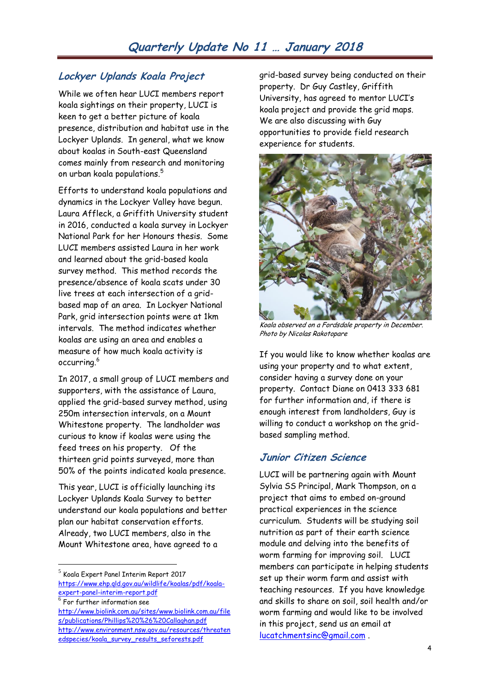# **Lockyer Uplands Koala Project**

While we often hear LUCI members report koala sightings on their property, LUCI is keen to get a better picture of koala presence, distribution and habitat use in the Lockyer Uplands. In general, what we know about koalas in South-east Queensland comes mainly from research and monitoring on urban koala populations. $^5\,$ 

Efforts to understand koala populations and dynamics in the Lockyer Valley have begun. Laura Affleck, a Griffith University student in 2016, conducted a koala survey in Lockyer National Park for her Honours thesis. Some LUCI members assisted Laura in her work and learned about the grid-based koala survey method. This method records the presence/absence of koala scats under 30 live trees at each intersection of a gridbased map of an area. In Lockyer National Park, grid intersection points were at 1km intervals. The method indicates whether koalas are using an area and enables a measure of how much koala activity is occurring.<sup>6</sup>

In 2017, a small group of LUCI members and supporters, with the assistance of Laura, applied the grid-based survey method, using 250m intersection intervals, on a Mount Whitestone property. The landholder was curious to know if koalas were using the feed trees on his property. Of the thirteen grid points surveyed, more than 50% of the points indicated koala presence.

This year, LUCI is officially launching its Lockyer Uplands Koala Survey to better understand our koala populations and better plan our habitat conservation efforts. Already, two LUCI members, also in the Mount Whitestone area, have agreed to a

 $^5$  Koala Expert Panel Interim Report 2017 [https://www.ehp.qld.gov.au/wildlife/koalas/pdf/koala](https://www.ehp.qld.gov.au/wildlife/koalas/pdf/koala-expert-panel-interim-report.pdf)[expert-panel-interim-report.pdf](https://www.ehp.qld.gov.au/wildlife/koalas/pdf/koala-expert-panel-interim-report.pdf)

 $^6$  For further information see

 $\overline{a}$ 

[http://www.biolink.com.au/sites/www.biolink.com.au/file](http://www.biolink.com.au/sites/www.biolink.com.au/files/publications/Phillips%20%26%20Callaghan.pdf) [s/publications/Phillips%20%26%20Callaghan.pdf](http://www.biolink.com.au/sites/www.biolink.com.au/files/publications/Phillips%20%26%20Callaghan.pdf) [http://www.environment.nsw.gov.au/resources/threaten](http://www.environment.nsw.gov.au/resources/threatenedspecies/koala_survey_results_seforests.pdf) [edspecies/koala\\_survey\\_results\\_seforests.pdf](http://www.environment.nsw.gov.au/resources/threatenedspecies/koala_survey_results_seforests.pdf)

grid-based survey being conducted on their property. Dr Guy Castley, Griffith University, has agreed to mentor LUCI's koala project and provide the grid maps. We are also discussing with Guy opportunities to provide field research experience for students.



Koala observed on a Fordsdale property in December. Photo by Nicolas Rakotopare

If you would like to know whether koalas are using your property and to what extent, consider having a survey done on your property. Contact Diane on 0413 333 681 for further information and, if there is enough interest from landholders, Guy is willing to conduct a workshop on the gridbased sampling method.

# **Junior Citizen Science**

LUCI will be partnering again with Mount Sylvia SS Principal, Mark Thompson, on a project that aims to embed on-ground practical experiences in the science curriculum. Students will be studying soil nutrition as part of their earth science module and delving into the benefits of worm farming for improving soil. LUCI members can participate in helping students set up their worm farm and assist with teaching resources. If you have knowledge and skills to share on soil, soil health and/or worm farming and would like to be involved in this project, send us an email at [lucatchmentsinc@gmail.com](mailto:lucatchmentsinc@gmail.com) .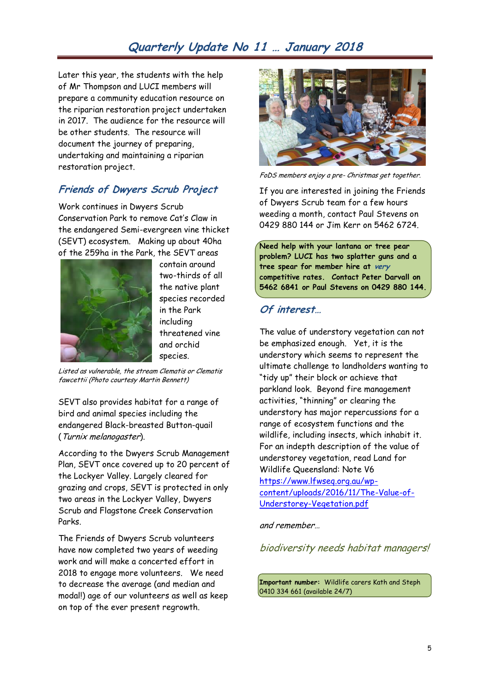# **Quarterly Update No 11 … January 2018**

Later this year, the students with the help of Mr Thompson and LUCI members will prepare a community education resource on the riparian restoration project undertaken in 2017. The audience for the resource will be other students. The resource will document the journey of preparing, undertaking and maintaining a riparian restoration project.

### **Friends of Dwyers Scrub Project**

Work continues in Dwyers Scrub Conservation Park to remove Cat's Claw in the endangered Semi-evergreen vine thicket (SEVT) ecosystem. Making up about 40ha of the 259ha in the Park, the SEVT areas



contain around two-thirds of all the native plant species recorded in the Park including threatened vine and orchid species.

Listed as vulnerable, the stream Clematis or Clematis fawcettii (Photo courtesy Martin Bennett)

SEVT also provides habitat for a range of bird and animal species including the endangered Black-breasted Button-quail (Turnix melanogaster).

According to the Dwyers Scrub Management Plan, SEVT once covered up to 20 percent of the Lockyer Valley. Largely cleared for grazing and crops, SEVT is protected in only two areas in the Lockyer Valley, Dwyers Scrub and Flagstone Creek Conservation Parks.

The Friends of Dwyers Scrub volunteers have now completed two years of weeding work and will make a concerted effort in 2018 to engage more volunteers. We need to decrease the average (and median and modal!) age of our volunteers as well as keep on top of the ever present regrowth.



FoDS members enjoy a pre- Christmas get together.

If you are interested in joining the Friends of Dwyers Scrub team for a few hours weeding a month, contact Paul Stevens on 0429 880 144 or Jim Kerr on 5462 6724.

**Need help with your lantana or tree pear problem? LUCI has two splatter guns and a tree spear for member hire at very competitive rates. Contact Peter Darvall on 5462 6841 or Paul Stevens on 0429 880 144.**

#### **Of interest…**

The value of understory vegetation can not be emphasized enough. Yet, it is the understory which seems to represent the ultimate challenge to landholders wanting to "tidy up" their block or achieve that parkland look. Beyond fire management activities, "thinning" or clearing the understory has major repercussions for a range of ecosystem functions and the wildlife, including insects, which inhabit it. For an indepth description of the value of understorey vegetation, read Land for Wildlife Queensland: Note V6 [https://www.lfwseq.org.au/wp](https://www.lfwseq.org.au/wp-content/uploads/2016/11/The-Value-of-Understorey-Vegetation.pdf)[content/uploads/2016/11/The-Value-of-](https://www.lfwseq.org.au/wp-content/uploads/2016/11/The-Value-of-Understorey-Vegetation.pdf)[Understorey-Vegetation.pdf](https://www.lfwseq.org.au/wp-content/uploads/2016/11/The-Value-of-Understorey-Vegetation.pdf)

and remember…

biodiversity needs habitat managers!

**Important number:** Wildlife carers Kath and Steph 0410 334 661 (available 24/7)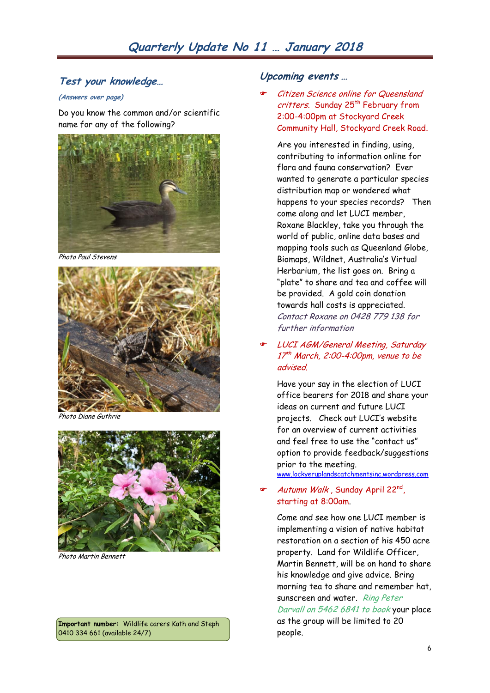#### **Test your knowledge…**

#### **(Answers over page)**

Do you know the common and/or scientific name for any of the following?



Photo Paul Stevens



Photo Diane Guthrie



Photo Martin Bennett

**Important number:** Wildlife carers Kath and Steph 0410 334 661 (available 24/7)

#### **Upcoming events …**

 Citizen Science online for Queensland critters. Sunday 25<sup>th</sup> February from 2:00-4:00pm at Stockyard Creek Community Hall, Stockyard Creek Road.

Are you interested in finding, using, contributing to information online for flora and fauna conservation? Ever wanted to generate a particular species distribution map or wondered what happens to your species records? Then come along and let LUCI member, Roxane Blackley, take you through the world of public, online data bases and mapping tools such as Queenland Globe, Biomaps, Wildnet, Australia's Virtual Herbarium, the list goes on. Bring a "plate" to share and tea and coffee will be provided. A gold coin donation towards hall costs is appreciated. Contact Roxane on 0428 779 138 for further information

#### LUCI AGM/General Meeting, Saturday 17 th March, 2:00-4:00pm, venue to be advised.

Have your say in the election of LUCI office bearers for 2018 and share your ideas on current and future LUCI projects. Check out LUCI's website for an overview of current activities and feel free to use the "contact us" option to provide feedback/suggestions prior to the meeting. [www.lockyeruplandscatchmentsinc.wordpress.com](http://www.lockyeruplandscatchmentsinc.wordpress.com/)

#### Autumn Walk , Sunday April 22nd , starting at 8:00am.

Come and see how one LUCI member is implementing a vision of native habitat restoration on a section of his 450 acre property. Land for Wildlife Officer, Martin Bennett, will be on hand to share his knowledge and give advice. Bring morning tea to share and remember hat, sunscreen and water. Ring Peter Darvall on 5462 6841 to book your place as the group will be limited to 20 people.